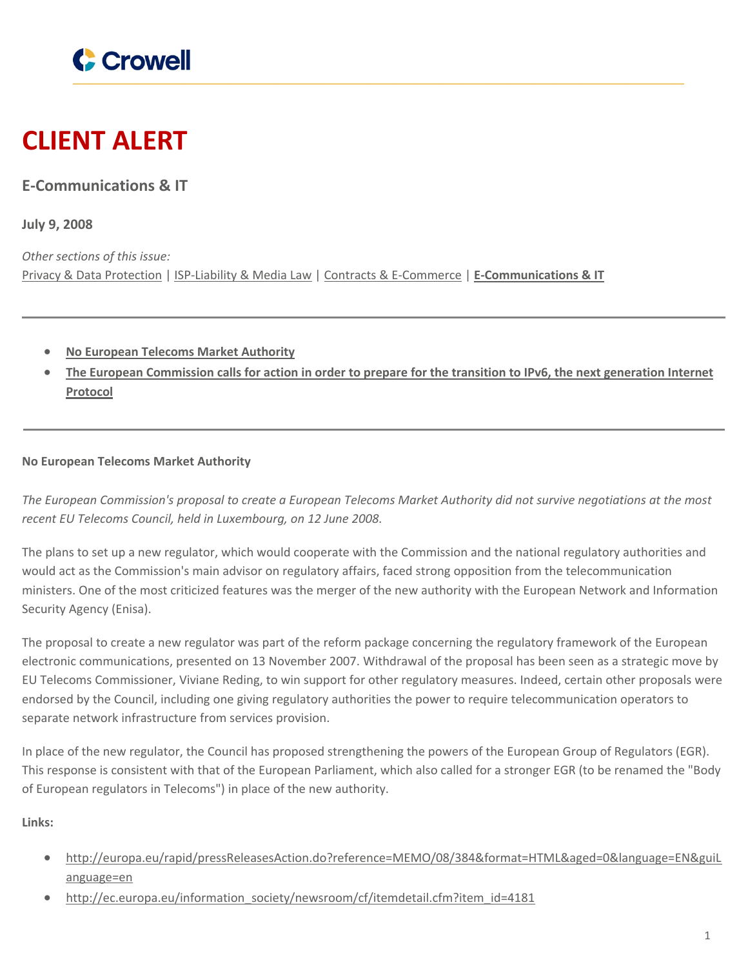

# **CLIENT ALERT**

## **E-Communications & IT**

**July 9, 2008**

*Other sections of this issue:* Privacy & Data [Protection](https://www.crowell.com/newsevents/alertsnewsletters/all/1351966) | [ISP-Liability](https://www.crowell.com/newsevents/alertsnewsletters/all/1351967) & Media Law | Contracts & [E-Commerce](https://www.crowell.com/newsevents/alertsnewsletters/all/1351968) | **[E-Communications](https://www.crowell.com/newsevents/alertsnewsletters/all/1351969) & IT**

- **No [European](#page-0-0) Telecoms Market Authority**
- The European [Commission](#page-1-0) calls for action in order to prepare for the transition to IPv6, the next generation Internet **[Protocol](#page-1-0)**

### <span id="page-0-0"></span>**No European Telecoms Market Authority**

The European Commission's proposal to create a European Telecoms Market Authority did not survive negotiations at the most *recent EU Telecoms Council, held in Luxembourg, on 12 June 2008.*

The plans to set up a new regulator, which would cooperate with the Commission and the national regulatory authorities and would act as the Commission's main advisor on regulatory affairs, faced strong opposition from the telecommunication ministers. One of the most criticized features was the merger of the new authority with the European Network and Information Security Agency (Enisa).

The proposal to create a new regulator was part of the reform package concerning the regulatory framework of the European electronic communications, presented on 13 November 2007. Withdrawal of the proposal has been seen as a strategic move by EU Telecoms Commissioner, Viviane Reding, to win support for other regulatory measures. Indeed, certain other proposals were endorsed by the Council, including one giving regulatory authorities the power to require telecommunication operators to separate network infrastructure from services provision.

In place of the new regulator, the Council has proposed strengthening the powers of the European Group of Regulators (EGR). This response is consistent with that of the European Parliament, which also called for a stronger EGR (to be renamed the "Body of European regulators in Telecoms") in place of the new authority.

**Links:**

- [http://europa.eu/rapid/pressReleasesAction.do?reference=MEMO/08/384&format=HTML&aged=0&language=EN&guiL](http://europa.eu/rapid/pressReleasesAction.do?reference=MEMO/08/384&format=HTML&aged=0&language=EN&guiLanguage=en) [anguage=en](http://europa.eu/rapid/pressReleasesAction.do?reference=MEMO/08/384&format=HTML&aged=0&language=EN&guiLanguage=en)
- [http://ec.europa.eu/information\\_society/newsroom/cf/itemdetail.cfm?item\\_id=4181](http://ec.europa.eu/information_society/newsroom/cf/itemdetail.cfm?item_id=4181)